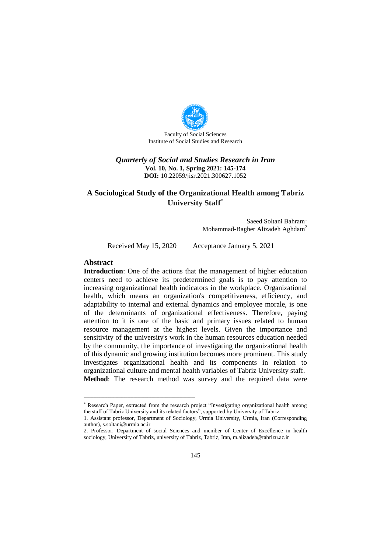

Faculty of Social Sciences Institute of Social Studies and Research

### *Quarterly of Social and Studies Research in Iran* **Vol. 10, No. 1, Spring 2021: 145-174 DOI:** 10.22059/jisr.2021.300627.1052

# **A Sociological Study of the Organizational Health among Tabriz University Staff**

Saeed Soltani Bahram<sup>1</sup> Mohammad-Bagher Alizadeh Aghdam<sup>2</sup>

Received May 15, 2020 Acceptance January 5, 2021

#### **Abstract**

**Introduction**: One of the actions that the management of higher education centers need to achieve its predetermined goals is to pay attention to increasing organizational health indicators in the workplace. Organizational health, which means an organization's competitiveness, efficiency, and adaptability to internal and external dynamics and employee morale, is one of the determinants of organizational effectiveness. Therefore, paying attention to it is one of the basic and primary issues related to human resource management at the highest levels. Given the importance and sensitivity of the university's work in the human resources education needed by the community, the importance of investigating the organizational health of this dynamic and growing institution becomes more prominent. This study investigates organizational health and its components in relation to organizational culture and mental health variables of Tabriz University staff. **Method**: The research method was survey and the required data were

Research Paper, extracted from the research project "Investigating organizational health among the staff of Tabriz University and its related factors", supported by University of Tabriz.

<sup>1.</sup> Assistant professor, Department of Sociology, Urmia University, Urmia, Iran (Corresponding author), s.soltani@urmia.ac.ir

<sup>2.</sup> Professor, Department of social Sciences and member of Center of Excellence in health sociology, University of Tabriz, university of Tabriz, Tabriz, Iran, m.alizadeh@tabrizu.ac.ir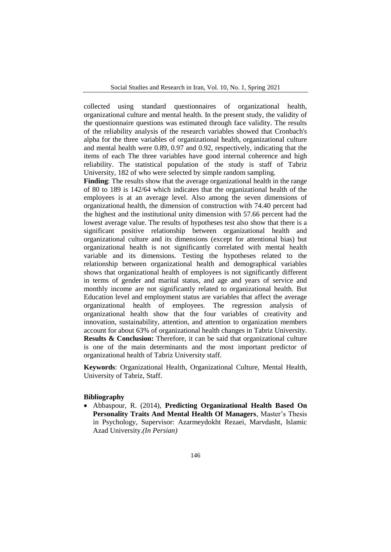collected using standard questionnaires of organizational health, organizational culture and mental health. In the present study, the validity of the questionnaire questions was estimated through face validity. The results of the reliability analysis of the research variables showed that Cronbach's alpha for the three variables of organizational health, organizational culture and mental health were 0.89, 0.97 and 0.92, respectively, indicating that the items of each The three variables have good internal coherence and high reliability. The statistical population of the study is staff of Tabriz University, 182 of who were selected by simple random sampling.

**Finding**: The results show that the average organizational health in the range of 80 to 189 is 142/64 which indicates that the organizational health of the employees is at an average level. Also among the seven dimensions of organizational health, the dimension of construction with 74.40 percent had the highest and the institutional unity dimension with 57.66 percent had the lowest average value. The results of hypotheses test also show that there is a significant positive relationship between organizational health and organizational culture and its dimensions (except for attentional bias) but organizational health is not significantly correlated with mental health variable and its dimensions. Testing the hypotheses related to the relationship between organizational health and demographical variables shows that organizational health of employees is not significantly different in terms of gender and marital status, and age and years of service and monthly income are not significantly related to organizational health. But Education level and employment status are variables that affect the average organizational health of employees. The regression analysis of organizational health show that the four variables of creativity and innovation, sustainability, attention, and attention to organization members account for about 63% of organizational health changes in Tabriz University. **Results & Conclusion:** Therefore, it can be said that organizational culture is one of the main determinants and the most important predictor of organizational health of Tabriz University staff.

**Keywords**: Organizational Health, Organizational Culture, Mental Health, University of Tabriz, Staff.

#### **Bibliography**

 Abbaspour, R. (2014), **Predicting Organizational Health Based On Personality Traits And Mental Health Of Managers**, Master's Thesis in Psychology, Supervisor: Azarmeydokht Rezaei, Marvdasht, Islamic Azad University.*(In Persian)*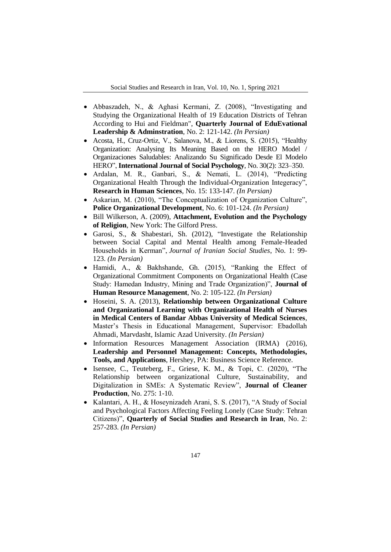- Abbaszadeh, N., & Aghasi Kermani, Z. (2008), "Investigating and Studying the Organizational Health of 19 Education Districts of Tehran According to Hui and Fieldman", **Quarterly Journal of EduEvational Leadership & Adminstration**, No. 2: 121-142. *(In Persian)*
- Acosta, H., Cruz-Ortiz, V., Salanova, M., & Liorens, S. (2015), "Healthy Organization: Analysing Its Meaning Based on the HERO Model / Organizaciones Saludables: Analizando Su Significado Desde El Modelo HERO", **International Journal of Social Psychology**, No. 30(2): 323–350.
- Ardalan, M. R., Ganbari, S., & Nemati, L. (2014), "Predicting Organizational Health Through the Individual-Organization Integeracy", **Research in Human Sciences**, No. 15: 133-147. *(In Persian)*
- Askarian, M. (2010), "The Conceptualization of Organization Culture", **Police Organizational Development**, No. 6: 101-124. *(In Persian)*
- Bill Wilkerson, A. (2009), **Attachment, Evolution and the Psychology of Religion**, New York: The Gilford Press.
- Garosi, S., & Shabestari, Sh. (2012), "Investigate the Relationship between Social Capital and Mental Health among Female-Headed Households in Kerman", *Journal of Iranian Social Studies*, No. 1: 99- 123. *(In Persian)*
- Hamidi, A., & Bakhshande, Gh. (2015), "Ranking the Effect of Organizational Commitment Components on Organizational Health (Case Study: Hamedan Industry, Mining and Trade Organization)", **Journal of Human Resource Management**, No. 2: 105-122. *(In Persian)*
- Hoseini, S. A. (2013), **Relationship between Organizational Culture and Organizational Learning with Organizational Health of Nurses in Medical Centers of Bandar Abbas University of Medical Sciences**, Master's Thesis in Educational Management, Supervisor: Ebadollah Ahmadi, Marvdasht, Islamic Azad University. *(In Persian)*
- Information Resources Management Association (IRMA) (2016), **Leadership and Personnel Management: Concepts, Methodologies, Tools, and Applications**, Hershey, PA: Business Science Reference.
- Isensee, C., Teuteberg, F., Griese, K. M., & Topi, C. (2020), "The Relationship between organizational Culture, Sustainability, and Digitalization in SMEs: A Systematic Review", **Journal of Cleaner Production**, No. 275: 1-10.
- Kalantari, A. H., & Hoseynizadeh Arani, S. S. (2017), "A Study of Social and Psychological Factors Affecting Feeling Lonely (Case Study: Tehran Citizens)", **Quarterly of Social Studies and Research in Iran**, No. 2: 257-283. *(In Persian)*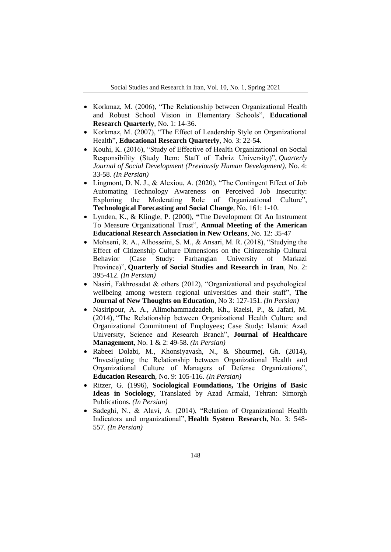- Korkmaz, M. (2006), "The Relationship between Organizational Health and Robust School Vision in Elementary Schools", **Educational Research Quarterly**, No. 1: 14-36.
- Korkmaz, M. (2007), "The Effect of Leadership Style on Organizational Health", **Educational Research Quarterly**, No. 3: 22-54.
- Kouhi, K. (2016), "Study of Effective of Health Organizational on Social Responsibility (Study Item: Staff of Tabriz University)", *Quarterly Journal of Social Development (Previously Human Development)*, No. 4: 33-58. *(In Persian)*
- Lingmont, D. N. J., & Alexiou, A. (2020), "The Contingent Effect of Job Automating Technology Awareness on Perceived Job Insecurity: Exploring the Moderating Role of Organizational Culture", **Technological Forecasting and Social Change**, No. 161: 1-10.
- Lynden, K., & Klingle, P. (2000), **"**The Development Of An Instrument To Measure Organizational Trust", **Annual Meeting of the American Educational Research Association in New Orleans**, No. 12: 35-47
- Mohseni, R. A., Alhosseini, S. M., & Ansari, M. R. (2018), "Studying the Effect of Citizenship Culture Dimensions on the Citinzenship Cultural<br>Behavior (Case Study: Farhangian University of Markazi Behavior (Case Study: Farhangian University of Markazi Province)", **Quarterly of Social Studies and Research in Iran**, No. 2: 395-412. *(In Persian)*
- Nasiri, Fakhrosadat & others (2012), "Organizational and psychological wellbeing among western regional universities and their staff", **The Journal of New Thoughts on Education**, No 3: 127-151. *(In Persian)*
- Nasiripour, A. A., Alimohammadzadeh, Kh., Raeisi, P., & Jafari, M. (2014), "The Relationship between Organizational Health Culture and Organizational Commitment of Employees; Case Study: Islamic Azad University, Science and Research Branch", **Journal of Healthcare Management**, No. 1 & 2: 49-58. *(In Persian)*
- Rabeei Dolabi, M., Khonsiyavash, N., & Shourmej, Gh. (2014), "Investigating the Relationship between Organizational Health and Organizational Culture of Managers of Defense Organizations", **Education Research**, No. 9: 105-116. *(In Persian)*
- Ritzer, G. (1996), **Sociological Foundations, The Origins of Basic Ideas in Sociology**, Translated by Azad Armaki, Tehran: Simorgh Publications. *(In Persian)*
- Sadeghi, N., & Alavi, A. (2014), "Relation of Organizational Health Indicators and organizational", **Health System Research**, No. 3: 548- 557. *(In Persian)*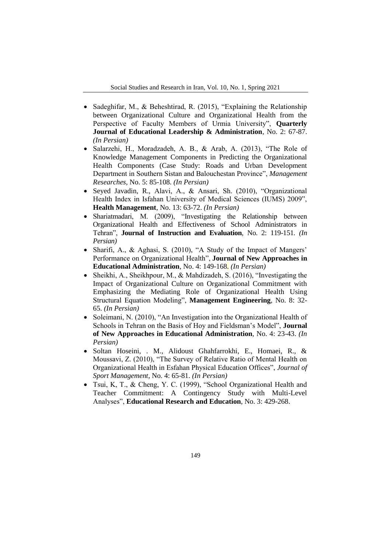- Sadeghifar, M., & Beheshtirad, R. (2015), "Explaining the Relationship between Organizational Culture and Organizational Health from the Perspective of Faculty Members of Urmia University", **Quarterly Journal of Educational Leadership & Administration**, No. 2: 67-87. *(In Persian)*
- Salarzehi, H., Moradzadeh, A. B., & Arab, A. (2013), "The Role of Knowledge Management Components in Predicting the Organizational Health Components (Case Study: Roads and Urban Development Department in Southern Sistan and Balouchestan Province", *Management Researches,* No. 5: 85-108. *(In Persian)*
- Seyed Javadin, R., Alavi, A., & Ansari, Sh. (2010), "Organizational Health Index in Isfahan University of Medical Sciences (IUMS) 2009", **Health Management**, No. 13: 63-72. *(In Persian)*
- Shariatmadari, M. (2009), "Investigating the Relationship between Organizational Health and Effectiveness of School Administrators in Tehran", **Journal of Instruction and Evaluation**, No. 2: 119-151. *(In Persian)*
- Sharifi, A., & Aghasi, S. (2010), "A Study of the Impact of Mangers' Performance on Organizational Health", **Journal of New Approaches in Educational Administration**, No. 4: 149-168. *(In Persian)*
- Sheikhi, A., Sheikhpour, M., & Mahdizadeh, S. (2016), "Investigating the Impact of Organizational Culture on Organizational Commitment with Emphasizing the Mediating Role of Organizational Health Using Structural Equation Modeling", **Management Engineering**, No. 8: 32- 65. *(In Persian)*
- Soleimani, N. (2010), "An Investigation into the Organizational Health of Schools in Tehran on the Basis of Hoy and Fieldsman's Model", **Journal of New Approaches in Educational Administration**, No. 4: 23-43. *(In Persian)*
- Soltan Hoseini, . M., Alidoust Ghahfarrokhi, E., Homaei, R., & Moussavi, Z. (2010), "The Survey of Relative Ratio of Mental Health on Organizational Health in Esfahan Physical Education Offices", *Journal of Sport Management*, No. 4: 65-81. *(In Persian)*
- Tsui, K, T., & Cheng, Y. C. (1999), "School Organizational Health and Teacher Commitment: A Contingency Study with Multi-Level Analyses", **Educational Research and Education**, No. 3: 429-268.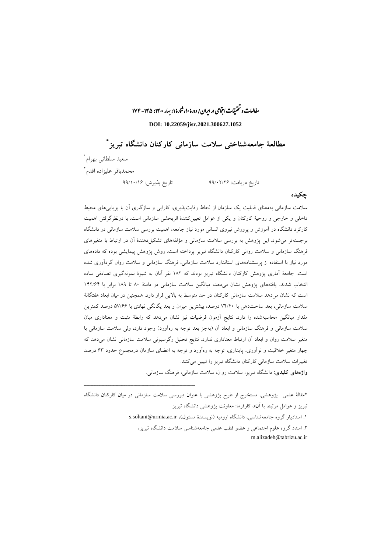مطالعات و تحقیقات اجتماعی در ایران/ دورۀ ۱۰، ثنارۀ ۱، بهار ۱۴۰۰: ۱۴۵ - ۱۷۴ ب

**DOI: 10.22059/jisr.2021.300627.1052**

**\* مطالعة جامعهشناختی سالمت سازمانی کارکنان دانشگاه تبریز**

سعید سلطانی بهرام 1 2 محمدباقر علیزاده اقدم

ــــــــــــــــــــــــــــــــــــــــــــــــــــــــــــــــــــــــــــــــــــــــــــــــــــــــــــــــــــــــــــــــــــــــــــــــ

تاریخ دریافت: 88/12/22 تاریخ پذیرش: 88/11/12

**چکیده**

سالمت سازمانی بهمعنای قابلیت یک سازمان از لحاظ رقابتپذیری، کارایی و سازگاری آن با پویاییهای محیط داخلی و خارجی و روحیة کارکنان و یکی از عوامل تعیینکنندة اثربخشی سازمانی است. با درنظرگرفتن اهمیت کارکرد دانشگاه در آموزش و پرورش نیروی انسانی مورد نیاز جامعه، اهمیت بررسی سالمت سازمانی در دانشگاه برجستهتر میشود. این پژوهش به بررسی سالمت سازمانی و مؤلفههای تشکیلدهندة آن در ارتباط با متغیرهای فرهنگ سازمانی و سالمت روانی کارکنان دانشگاه تبریز پرداخته است. روش پژوهش پیمایشی بوده که دادههای مورد نیاز با استفاده از پرسشنامههای استاندارد سالمت سازمانی، فرهنگ سازمانی و سالمت روان گردآوری شده است. جامعة آماری پژوهش کارکنان دانشگاه تبریز بودند که 192 نفر آنان به شیوة نمونهگیری تصادفی ساده انتخاب شدند. یافتههای پژوهش نشان میدهد، میانگین سالمت سازمانی در دامنة 91 تا 198 برابر با 112/21 است که نشان میدهد سالمت سازمانی کارکنان در حد متوسط به باالیی قرار دارد. همچنین در میان ابعاد هفتگانة سالمت سازمانی، بعد ساختدهی با 11/11 درصد، بیشترین میزان و بعد یگانگی نهادی با 01/22 درصد کمترین مقدار میانگین محاسبهشده را دارد. نتایج آزمون فرضیات نیز نشان میدهد که رابطة مثبت و معناداری میان سلامت سازمانی و فرهنگ سازمانی و ابعاد آن (بهجز بعد توجه به رهآورد) وجود دارد، ولی سلامت سازمانی با متغیر سالمت روان و ابعاد آن ارتباط معناداری ندارد. نتایج تحلیل رگرسیونی سالمت سازمانی نشان میدهد که چهار متغیر خالقیت و نوآوری، پایداری، توجه به رهآورد و توجه به اعضای سازمان درمجموع حدود 23 درصد تغییرات سالمت سازمانی کارکنان دانشگاه تبریز را تبیین میکنند.

**واژههای کلیدی:** دانشگاه تبریز، سالمت روان، سالمت سازمانی، فرهنگ سازمانی.

\*مقالة علمی- پژوهشی، مستخرج از طرح پژوهشی با عنوان »بررسی سالمت سازمانی در میان کارکنان دانشگاه تبریز و عوامل مرتبط با آن«، کارفرما: معاونت پژوهشی دانشگاه تبریز ۱. استادیار گروه جامعهشناسی، دانشگاه ارومیه (نویسندهٔ مسئول)، s.soltani@urmia.ac.ir .2 استاد گروه علوم اجتماعی و عضو قطب علمی جامعهشناسی سالمت دانشگاه تبریز، m.alizadeh@tabrizu.ac.ir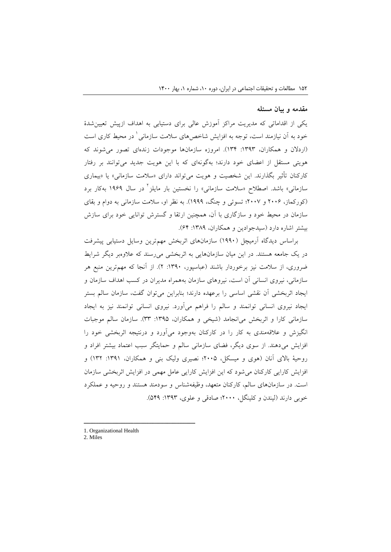#### **مقدمه و بیان مسئله**

یکی از اقداماتی که مدیریت مراکز آموزش عالی برای دستیابی به اهداف ازپیش تعیینشدة خود به آن نیازمند است، توجه به افزایش شاخصهای سلامت سازمان<sub>ی</sub> ٰ در محیط کاری است )اردالن و همکاران، :1383 131(. امروزه سازمانها موجودات زندهای تصور میشوند که هویتی مستقل از اعضای خود دارند؛ بهگونهای که با این هویت جدید میتوانند بر رفتار کارکنان تأثیر بگذارند. این شخصیت و هویت میتواند دارای «سلامت سازمانی» یا «بیماری سازمانی» باشد. اصطلاح «سلامت سازمانی» را نخستین بار مایلز<sup>۲</sup> در سال ۱۹۶۹ بهکار برد )کورکماز، 2112 و 2111؛ تسوئی و چنگ، 1888(. به نظر او، سالمت سازمانی به دوام و بقای سازمان در محیط خود و سازگاری با آن، همچنین ارتقا و گسترش توانایی خود برای سازش بیشتر اشاره دارد (سیدجوادین و همکاران، ۱۳۸۹: ۶۴).

براساس دیدگاه آرمیچل )1881( سازمانهای اثربخش مهمترین وسایل دستیابی پیشرفت در یک جامعه هستند. در این میان سازمانهایی به اثربخشی میرسند که عالوهبر دیگر شرایط ضروری، از سالمت نیز برخوردار باشند )عباسپور، :1381 2(. از آنجا که مهمترین منبع هر سازمانی، نیروی انسانی آن است، نیروهای سازمان بههمراه مدیران در کسب اهداف سازمان و ایجاد اثربخشی آن نقشی اساسی را برعهده دارند؛ بنابراین میتوان گفت، سازمان سالم بستر ایجاد نیروی انسانی توانمند و سالم را فراهم میآورد. نیروی انسانی توانمند نیز به ایجاد سازمانی کارا و اثربخش میانجامد )شیخی و همکاران، :1380 33(. سازمان سالم موجبات انگیزش و عالقهمندی به کار را در کارکنان بهوجود میآورد و درنتیجه اثربخشی خود را افزایش میدهند. از سوی دیگر، فضای سازمانی سالم و حمایتگر سبب اعتماد بیشتر افراد و روحیهٔ بالای آنان (هوی و میسکل، ۲۰۰۵؛ نصیری ولیک بنی و همکاران، ۱۳۹۱: ۱۳۲) و افزایش کارایی کارکنان میشود که این افزایش کارایی عامل مهمی در افزایش اثربخشی سازمان است. در سازمانهای سالم، کارکنان متعهد، وظیفهشناس و سودمند هستند و روحیه و عملکرد خوبی دارند (لیندن و کلینگل، ۲۰۰۰؛ صادقی و علوی، ۱۳۹۳: ۵۴۹).

1. Organizational Health

ــــــــــــــــــــــــــــــــــــــــــــــــــــــــــــــــــــــــــــــــــــــــــــــــــــــــــــــــــــــــــــــــــــــــــــــــ

2. Miles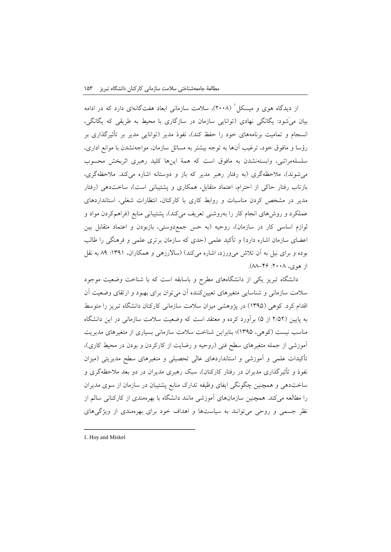از دیدگاه هوی و میسکل' (۲۰۰۸)، سلامت سازمانی ابعاد هفتگانهای دارد که در ادامه بیان میَشود: یگانگی نهادی )توانایی سازمان در سازگاری با محیط به طریقی که یگانگی، انسجام و تمامیت برنامههای خود را حفظ کند)، نفوذ مدیر (توانایی مدیر بر تأثیرگذاری بر رؤسا و مافوق خود، ترغیب آنها به توجه بیشتر به مسائل سازمان، مواجهنشدن با موانع اداری، سلسلهمراتبی، وابستهنشدن به مافوق است که همة اینها کلید رهبری اثربخش محسوب میشوند)، ملاحظهگری (به رفتار رهبر مدیر که باز و دوستانه اشاره میکند. ملاحظهگری، بازتاب رفتار حاکی از احترام، اعتماد متقابل، همکاری و پشتیبانی است)، ساختدهی (رفتار مدیر در مشخص کردن مناسبات و روابط کاری با کارکنان، انتظارات شغلی، استانداردهای عملکرد و روشهای انجام کار را بهروشنی تعریف میکند)، پشتیبانی منابع (فراهمکردن مواد و لوازم اساسی کار در سازمان)، روحیه (به حس جمع(دوستی، بازبودن و اعتماد متقابل بین اعضای سازمان اشاره دارد) و تأکید علمی (حدی که سازمان برتری علمی و فرهنگی را طالب بوده و برای نیل به آن تالش میورزد، اشاره میکند( )ساالرزهی و همکاران، :1381 98 به نقل از هوی، ۲۰۰۸: ۴۶–۸۸).

دانشگاه تبریز یکی از دانشگاههای مطرح و باسابقه است که با شناخت وضعیت موجود سالمت سازمانی و شناسایی متغیرهای تعیینکننده آن میتوان برای بهبود و ارتقای وضعیت آن اقدام کرد. کوهی )1380( در پژوهشی میزان سالمت سازمانی کارکنان دانشگاه تبریز را متوسط به پایین )2/02 از 0( برآورد کرده و معتقد است که وضعیت سالمت سازمانی در این دانشگاه مناسب نیست (کوهی، ۱۳۹۵)؛ بنابراین شناخت سلامت سازمانی بسیاری از متغیرهای مدیریت آموزشی از جمله متغیرهای سطح فنی )روحیه و رضایت از کارکردن و بودن در محیط کاری(، تأکیدات علمی و آموزشی و استانداردهای عالی تحصیلی و متغیرهای سطح مدیریتی )میزان نفوذ و تأثیرگذاری مدیران در رفتار کارکنان)، سبک رهبری مدیران در دو بعد ملاحظهگری و ساختدهی و همچنین چگونگی ایفای وظیفه تدارک منابع پشتیبان در سازمان از سوی مدیران را مطالعه میکند. همچنین سازمانهای آموزشی مانند دانشگاه با بهرهمندی از کارکنانی سالم از نظر جسمی و روحی میتوانند به سیاستها و اهداف خود برای بهرهمندی از ویژگیهای

1. Hoy and Miskel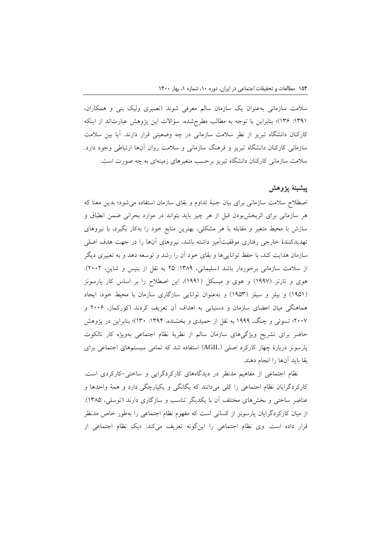سالمت سازمانی بهعنوان یک سازمان سالم معرفی شوند )نصیری ولیک بنی و همکاران، :1381 132(؛ بنابراین با توجه به مطالب مطرحشده، سؤاالت این پژوهش عبارتاند از اینکه کارکنان دانشگاه تبریز از نظر سالمت سازمانی در چه وضعیتی قرار دارند. آیا بین سالمت سازمانی کارکنان دانشگاه تبریز و فرهنگ سازمانی و سالمت روان آنها ارتباطی وجود دارد. سالمت سازمانی کارکنان دانشگاه تبریز برحسب متغیرهای زمینهای به چه صورت است.

# **پیشینة پژوهش**

اصطالح سالمت سازمانی برای بیان جنبة تداوم و بقای سازمان استفاده میشود؛ بدین معنا که هر سازمانی برای اثربخشبودن قبل از هر چیز باید بتواند در موارد بحرانی ضمن انطباق و سازش با محیط متغیر و مقابله با هر مشکلی، بهترین منابع خود را بهکار بگیرد، با نیروهای تهدیدکنندة خارجی رفتاری موفقیتآمیز داشته باشد، نیروهای آنها را در جهت هدف اصلی سازمان هدایت کند، با حفظ تواناییها و بقای خود آن را رشد و توسعه دهد و به تعبیری دیگر از سلامت سازمانی برخوردار باشد (سلیمانی، ۱۳۸۹: ۲۵ به نقل از بنیس و شاین، ۲۰۰۲). هوی و تارتر )1881( و هوی و میسکل )1881(، این اصطالح را بر اساس کار پارسونز )1801( و بیلز و سیلز )1803( و بهعنوان توانایی سازگاری سازمان با محیط خود، ایجاد هماهنگی میان اعضای سازمان و دستیابی به اهداف آن تعریف کردند )کورکماز، 2112 و 2111؛ تسوئی و چنگ، 1888 به نقل از حمیدی و بخشنده، :1381 131(؛ بنابراین در پژوهش حاضر برای تشریح ویژگیهای سازمان سالم از نظریة نظام اجتماعی بهویژه کار تالکوت پارسونز دربارهٔ چهار کارکرد اصلی (AGIL) استفاده شد که تمامی سیستمهای اجتماعی برای بقا باید آنها را انجام دهند.

نظام اجتماعی از مفاهیم مدنظر در دیدگاههای کارکردگرایی و ساختی-کارکردی است. کارکردگرایان نظام اجتماعی را کلی میدانند که یگانگی و یکپارچگی دارد و همة واحدها و عناصر ساختی و بخشهای مختلف آن با یکدیگر تناسب و سازگاری دارند )توسلی، 1390(. از میان کارکردگرایان پارسونز از کسانی است که مفهوم نظام اجتماعی را بهطور خاص مدنظر قرار داده است. وی نظام اجتماعی را اینگونه تعریف میکند: »یک نظام اجتماعی از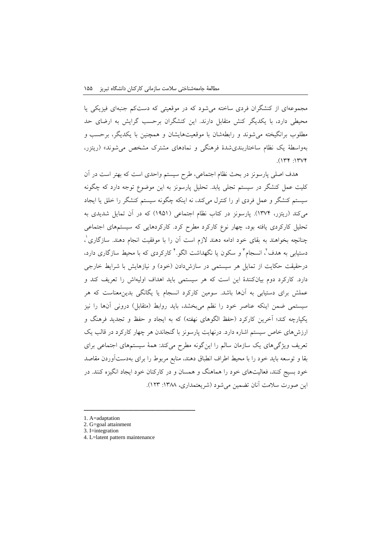مجموعهای از کنشگران فردی ساخته میشود که در موقعیتی که دستکم جنبهای فیزیکی یا محیطی دارد، با یکدیگر کنش متقابل دارند. این کنشگران برحسب گرایش به ارضای حد مطلوب برانگیخته میشوند و رابطهشان با موقعیتهایشان و همچنین با یکدیگر، برحسب و بهواسطة یک نظام ساختاربندیشدة فرهنگی و نمادهای مشترک مشخص میشوند« )ریتزر،  $.1174 : 11774$ 

هدف اصلی پارسونز در بحث نظام اجتماعی، طرح سیستم واحدی است که بهتر است در آن کلیت عمل کنشگر در سیستم تجلی یابد. تحلیل پارسونز به این موضوع توجه دارد که چگونه سیستم کنشگر و عمل فردی او را کنترل میکند، نه اینکه چگونه سیستم کنشگر را خلق یا ایجاد میکند )ریتزر، 1311(. پارسونز در کتاب نظام اجتماعی )1801( که در آن تمایل شدیدی به تحلیل کارکردی یافته بود، چهار نوع کارکرد مطرح کرد. کارکردهایی که سیستمهای اجتماعی چنانچه بخواهند به بقای خود ادامه دهند لازم است آن را با موفقیت انجام دهند. سازگاری ٰ، دستیابی به هدف<sup>٬</sup>، انسجام<sup>٬</sup> و سکون یا نگهداشت الگو.<sup>۲</sup> کارکردی که با محیط سازگاری دارد. درحقیقت حکایت از تمایل هر سیستمی در سازشدادن (خود) و نیازهایش با شرایط خارجی دارد. کارکرد دوم بیانکنندة این است که هر سیستمی باید اهداف اولیهاش را تعریف کند و عملش برای دستیابی به آنها باشد. سومین کارکرد انسجام یا یگانگی بدینمعناست که هر سیستمی ضمن اینکه عناصر خود را نظم میبخشد، باید روابط (متقابل) درونی آنها را نیز یکپارچه کند؛ آخرین کارکرد (حفظ الگوهای نهفته) که به ایجاد و حفظ و تجدید فرهنگ و ارزشهای خاص سیستم اشاره دارد. درنهایت پارسونز با گنجاندن هر چهار کارکرد در قالب یک تعریف ویژگیهای یک سازمان سالم را اینگونه مطرح میکند: همة سیستمهای اجتماعی برای بقا و توسعه باید خود را با محیط اطراف انطباق دهند، منابع مربوط را برای بهدستآوردن مقاصد خود بسیج کنند، فعالیتهای خود را هماهنگ و همسان و در کارکنان خود ایجاد انگیزه کنند. در این صورت سلامت آنان تضمین می شود (شریعتمداری، ۱۳۸۸: ۱۲۳).

<sup>1.</sup> A=adaptation

<sup>2.</sup> G=goal attainment

<sup>3.</sup> I=integration

<sup>4.</sup> L=latent pattern maintenance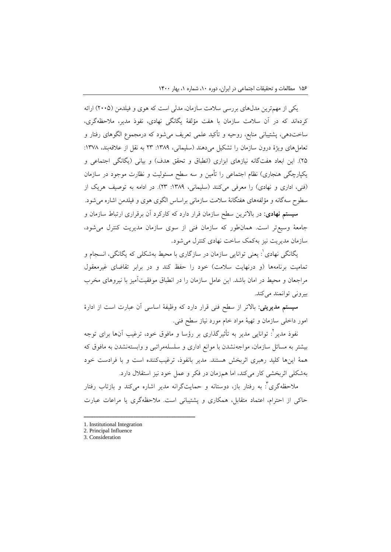یکی از مهمترین مدلهای بررسی سالمت سازمان، مدلی است که هوی و فیلدمن )2110( ارائه کردهاند که در آن سالمت سازمان با هفت مؤلفة یگانگی نهادی، نفوذ مدیر، مالحظهگری، ساختدهی، پشتیبانی منابع، روحیه و تأکید علمی تعریف میشود که درمجموع الگوهای رفتار و تعامل های ویژهٔ درون سازمان را تشکیل می دهند (سلیمانی، ١٣٨٩: ٢٣ به نقل از علاقهبند، ١٣٧٨: ۲۵). این ابعاد هفتگانه نیازهای ابزاری (انطباق و تحقق هدف) و بیانی (یگانگی اجتماعی و یکپارچگی هنجاری) نظام اجتماعی را تأمین و سه سطح مسئولیت و نظارت موجود در سازمان (فنی، اداری و نهادی) را معرفی میکنند (سلیمانی، ١٣٨٩: ٢٣). در ادامه به توصیف هریک از سطوح سهگانه و مؤلفههای هفتگانة سالمت سازمانی براساس الگوی هوی و فیلدمن اشاره میشود. **سیستم نهادی:** در باالترین سطح سازمان قرار دارد که کارکرد آن برقراری ارتباط سازمان و

جامعة وسیعتر است. همانطور که سازمان فنی از سوی سازمان مدیریت کنترل میشود، سازمان مدیریت نیز بهکمک ساخت نهادی کنترل میشود.

1 یگانگی نهادی : یعنی توانایی سازمان در سازگاری با محیط بهشکلی که یگانگی، انسجام و تمامیت برنامهها (و درنهایت سلامت) خود را حفظ کند و در برابر تقاضای غیرمعقول مراجعان و محیط در امان باشد. این عامل سازمان را در انطباق موفقیتآمیز با نیروهای مخرب بیرونی توانمند میکند.

**سیستم مدیریتی:** باالتر از سطح فنی قرار دارد که وظیفة اساسی آن عبارت است از ادارة امور داخلی سازمان و تهیة مواد خام مورد نیاز سطح فنی.

نفوذ مدیر <sup>י</sup>: توانایی مدیر به تأثیرگذاری بر رؤسا و مافوق خود، ترغیب آنها برای توجه بیشتر به مسائل سازمان، مواجهنشدن با موانع اداری و سلسلهمراتبی و وابستهنشدن به مافوق که همة اینها کلید رهبری اثربخش هستند. مدیر بانفوذ، ترغیبکننده است و با فرادست خود بهشکلی اثربخشی کار میکند، اما همزمان در فکر و عمل خود نیز استقالل دارد.

ملاحظهگری<sup>۲</sup>: به رفتار باز، دوستانه و حمایتگرانه مدیر اشاره میکند و بازتاب رفتار حاکی از احترام، اعتماد متقابل، همکاری و پشتیبانی است. مالحظهگری یا مراعات عبارت

<sup>1.</sup> Institutional Integration

<sup>2.</sup> Principal Influence

<sup>3.</sup> Consideration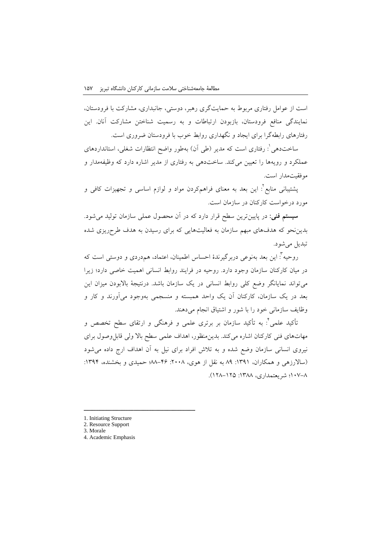است از عوامل رفتاری مربوط به حمایتگری رهبر، دوستی، جانبداری، مشارکت با فرودستان، نمایندگی منافع فرودستان، بازبودن ارتباطات و به رسمیت شناختن مشارکت آنان. این رفتارهای رابطهگرا برای ایجاد و نگهداری روابط خوب با فرودستان ضروری است.

ساختدهی': رفتاری است که مدیر (طی آن) بهطور واضح انتظارات شغلی، استانداردهای عملکرد و رویهها را تعیین میکند. ساختدهی به رفتاری از مدیر اشاره دارد که وظیفهمدار و موفقیتمدار است.

2 پشتیبانی منابع : این بعد به معنای فراهمکردن مواد و لوازم اساسی و تجهیزات کافی و مورد درخواست کارکنان در سازمان است.

**سیستم فنی:** در پایینترین سطح قرار دارد که در آن محصول عملی سازمان تولید میشود. بدیننحو که هدفهای مبهم سازمان به فعالیتهایی که برای رسیدن به هدف طرحریزی شده تبدیل میشود.

روحیه 3 : این بعد بهنوعی دربرگیرندة احساس اطمینان، اعتماد، همدردی و دوستی است که در میان کارکنان سازمان وجود دارد. روحیه در فرایند روابط انسانی اهمیت خاصی دارد؛ زیرا میتواند نمایانگر وضع کلی روابط انسانی در یک سازمان باشد. درنتیجة باالبودن میزان این بعد در یک سازمان، کارکنان آن یک واحد همبسته و منسجمی بهوجود میآورند و کار و وظایف سازمانی خود را با شور و اشتیاق انجام میدهند.

نأکید علمی<sup>۲</sup>: به تأکید سازمان بر برتری علمی و فرهنگی و ارتقای سطح تخصص و مهاتهای فنی کارکنان اشاره میکند. بدینمنظور، اهداف علمی سطح باال ولی قابلوصول برای نیروی انسانی سازمان وضع شده و به تالش افراد برای نیل به آن اهداف ارج داده میشود (سالارزهی و همکاران، ١٣٩١: ٨٩ به نقل از هوی، ٢٠٠٨: ٣۶-٨٨؛ حمیدی و بخشنده، ١٣٩۴: 111-9؛ شریعتمداری، :1399 129-120(.

<sup>1.</sup> Initiating Structure

<sup>2.</sup> Resource Support

<sup>3.</sup> Morale

<sup>4.</sup> Academic Emphasis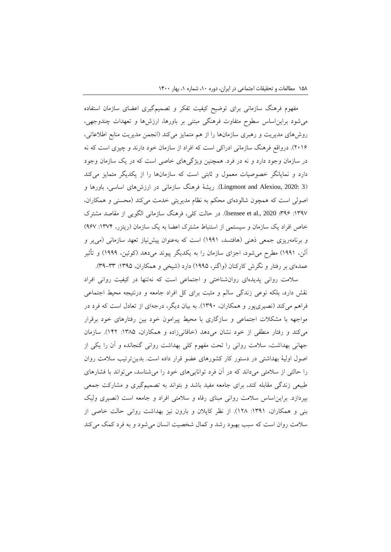مفهوم فرهنگ سازمانی برای توضیح کیفیت تفکر و تصمیمگیری اعضای سازمان استفاده میشود برایناساس سطوح متفاوت فرهنگی مبتنی بر باورها، ارزشها و تعهدات چندوجهی، روشهای مدیریت و رهبری سازمانها را از هم متمایز میکند )انجمن مدیریت منابع اطالعاتی، 2112(. درواقع فرهنگ سازمانی ادراکی است که افراد از سازمان خود دارند و چیزی است که نه در سازمان وجود دارد و نه در فرد. همچنین ویژگیهای خاصی است که در یک سازمان وجود دارد و نمایانگر خصوصیات معمول و ثابتی است که سازمانها را از یکدیگر متمایز میکند )3 2020: ,Alexiou and Lingmont). ریشة فرهنگ سازمانی در ارزشهای اساسی، باورها و اصولی است که همچون شالودهای محکم به نظام مدیریتی خدمت میکند (محسنی و همکاران، :1381 382؛ 2020 .,al et Isensee). در حالت کلی، فرهنگ سازمانی الگویی از مقاصد مشترک خاص افراد یک سازمان و سیستمی از استنباط مشترک اعضا به یک سازمان (ریتزر، ۱۳۷۴: ۹۶۷) و برنامهریزی جمعی ذهنی (هافتسد، ۱۹۹۱) است که بهعنوان پیشنیاز تعهد سازمانی (می پر و آلن، 1881( مطرح میشود، اجزای سازمان را به یکدیگر پیوند میدهد )کوئین، 1888( و تأثیر عمدهای بر رفتار و نگرش کارکنان (واگنر، ۱۹۹۵) دارد (شیخی و همکاران، ۱۳۹۵: ۳۳–۳۹).

سالمت روانی پدیدهای روانشناختی و اجتماعی است که نهتنها در کیفیت روانی افراد نقش دارد، بلکه نوعی زندگی سالم و مثبت برای کل افراد جامعه و درنتیجه محیط اجتماعی فراهم میکند )نصیریپور و همکاران، 1381(. به بیان دیگر، درجهای از تعادل است که فرد در مواجهه با مشکالت اجتماعی و سازگاری با محیط پیرامون خود بین رفتارهای خود برقرار میکند و رفتار منطقی از خود نشان میدهد )خاقانیزاده و همکاران، :1390 112(. سازمان جهانی بهداشت، سالمت روانی را تحت مفهوم کلی بهداشت روانی گنجانده و آن را یکی از اصول اولیة بهداشتی در دستور کار کشورهای عضو قرار داده است. بدینترتیب سالمت روان را حالتی از سالمتی میداند که در آن فرد تواناییهای خود را میشناسد، میتواند با فشارهای طبیعی زندگی مقابله کند، برای جامعه مفید باشد و بتواند به تصمیمگیری و مشارکت جمعی بپردازد. برایناساس سالمت روانی مبنای رفاه و سالمتی افراد و جامعه است )نصیری ولیک بنی و همکاران، :1381 129(. از نظر کاپالن و بارون نیز بهداشت روانی حالت خاصی از سالمت روان است که سبب بهبود رشد و کمال شخصیت انسان میشود و به فرد کمک میکند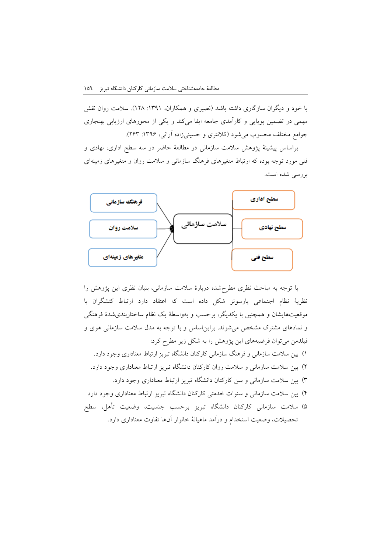با خود و دیگران سازگاری داشته باشد )نصیری و همکاران، :1381 129(. سالمت روان نقش مهمی در تضمین پویایی و کارآمدی جامعه ایفا میکند و یکی از محورهای ارزیابی بهنجاری جوامع مختلف محسوب می شود (کلانتری و حسینیزاده آرانی، ۱۳۹۶: ۲۶۳).

براساس پیشینة پژوهش سالمت سازمانی در مطالعة حاضر در سه سطح اداری، نهادی و فنی مورد توجه بوده که ارتباط متغیرهای فرهنگ سازمانی و سالمت روان و متغیرهای زمینهای بررسی شده است.



با توجه به مباحث نظری مطرحشده دربارة سالمت سازمانی، بنیان نظری این پژوهش را نظریة نظام اجتماعی پارسونز شکل داده است که اعتقاد دارد ارتباط کنشگران با موقعیتهایشان و همچنین با یکدیگر، برحسب و بهواسطة یک نظام ساختاربندیشدة فرهنگی و نمادهای مشترک مشخص میشوند. برایناساس و با توجه به مدل سالمت سازمانی هوی و فیلدمن میتوان فرضیههای این پژوهش را به شکل زیر مطرح کرد: 1( بین سالمت سازمانی و فرهنگ سازمانی کارکنان دانشگاه تبریز ارتباط معناداری وجود دارد. 2( بین سالمت سازمانی و سالمت روان کارکنان دانشگاه تبریز ارتباط معناداری وجود دارد. 3( بین سالمت سازمانی و سن کارکنان دانشگاه تبریز ارتباط معناداری وجود دارد. 1( بین سالمت سازمانی و سنوات خدمتی کارکنان دانشگاه تبریز ارتباط معناداری وجود دارد

0( سالمت سازمانی کارکنان دانشگاه تبریز برحسب جنسیت، وضعیت تأهل، سطح تحصیالت، وضعیت استخدام و درآمد ماهیانة خانوار آنها تفاوت معناداری دارد.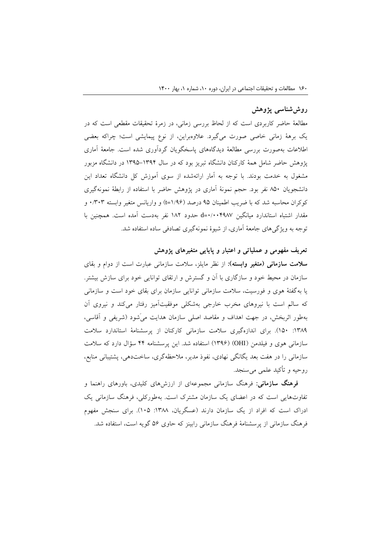## **روششناسی پژوهش**

مطالعة حاضر کاربردی است که از لحاظ بررسی زمانی، در زمرة تحقیقات مقطعی است که در یک برهة زمانی خاصی صورت میگیرد. عالوهبراین، از نوع پیمایشی است؛ چراکه بعضی اطالعات بهصورت بررسی مطالعة دیدگاههای پاسخگویان گردآوری شده است. جامعة آماری پژوهش حاضر شامل همة کارکنان دانشگاه تبریز بود که در سال 1380-1381 در دانشگاه مزبور مشغول به خدمت بودند. با توجه به آمار ارائهشده از سوی آموزش کل دانشگاه تعداد این دانشجویان 901 نفر بود. حجم نمونة آماری در پژوهش حاضر با استفاده از رابطة نمونهگیری کوکران محاسبه شد که با ضریب اطمینان ۹۵ درصد (۱/۹۶=t) و واریانس متغیر وابسته ۰/۳۰۳ و مقدار اشتباه استاندارد میانگین 1/111891=<sup>d</sup> حدود 192 نفر بهدست آمده است. همچنین با توجه به ویژگیهای جامعة آماری، از شیوة نمونهگیری تصادفی ساده استفاده شد.

### **تعریف مفهومی و عملیاتی و اعتبار و پایایی متغیرهای پژوهش**

**سالمت سازمانی )متغیر وابسته(:** از نظر مایلز، سالمت سازمانی عبارت است از دوام و بقای سازمان در محیط خود و سازگاری با آن و گسترش و ارتقای توانایی خود برای سازش بیشتر. یا بهگفتة هوی و فورسیت، سالمت سازمانی توانایی سازمان برای بقای خود است و سازمانی که سالم است با نیروهای مخرب خارجی بهشکلی موفقیتآمیز رفتار میکند و نیروی آن بهطور اثربخش، در جهت اهداف و مقاصد اصلی سازمان هدایت میَشود )شریفی و آقاسی، :1398 101(. برای اندازهگیری سالمت سازمانی کارکنان از پرسشنامة استاندارد سالمت سازمانی هوی و فیلدمن )OHI( )1382 )استفاده شد. این پرسشنامه 11 سؤال دارد که سالمت سازمانی را در هفت بعد یگانگی نهادی، نفوذ مدیر، مالحظهگری، ساختدهی، پشتیبانی منابع، روحیه و تأکید علمی میسنجد.

**فرهنگ سازمانی:** فرهنگ سازمانی مجموعهای از ارزشهای کلیدی، باورهای راهنما و تفاوتهایی است که در اعضای یک سازمان مشترک است. بهطورکلی، فرهنگ سازمانی یک ادراک است که افراد از یک سازمان دارند (عسگریان، ۱۳۸۸: ۱۰۵). برای سنجش مفهوم فرهنگ سازمانی از پرسشنامة فرهنگ سازمانی رابینز که حاوی 02 گویه است، استفاده شد.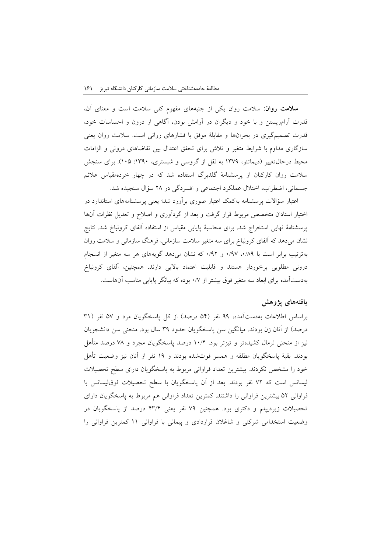**سالمت روان:** سالمت روان یکی از جنبههای مفهوم کلی سالمت است و معنای آن، قدرت آرامزیستن و با خود و دیگران در آرامش بودن، آگاهی از درون و احساسات خود، قدرت تصمیمگیری در بحرانها و مقابلة موفق با فشارهای روانی است. سالمت روان یعنی سازگاری مداوم با شرایط متغیر و تالش برای تحقق اعتدال بین تقاضاهای درونی و الزامات محیط درحال تغییر (دیماتئو، ۱۳۷۹ به نقل از گروسی و شبستری، ۱۳۹۰: ۱۰۵). برای سنجش سالمت روان کارکنان از پرسشنامة گلدبرگ استفاده شد که در چهار خردهمقیاس عالئم جسمانی، اضطراب، اختالل عملکرد اجتماعی و افسردگی در 29 سؤال سنجیده شد.

اعتبار سؤاالت پرسشنامه بهکمک اعتبار صوری برآورد شد؛ یعنی پرسشنامههای استاندارد در اختیار استادان متخصص مربوط قرار گرفت و بعد از گردآوری و اصالح و تعدیل نظرات آنها پرسشنامة نهایی استخراج شد. برای محاسبة پایایی مقیاس از استفاده آلفای کرونباخ شد. نتایج نشان میدهد که آلفای کرونباخ برای سه متغیر سالمت سازمانی، فرهنگ سازمانی و سالمت روان بهترتیب برابر است با ۰/۹۷، ۰/۹۷ و ۰/۹۲ که نشان میدهد گویههای هر سه متغیر از انسجام درونی مطلوبی برخوردار هستند و قابلیت اعتماد باالیی دارند. همچنین، آلفای کرونباخ بهدستآمده برای ابعاد سه متغیر فوق بیشتر از 1/1 بوده که بیانگر پایایی مناسب آنهاست.

## **یافتههای پژوهش**

براساس اطلاعات بهدستآمده، ۹۹ نفر (۵۴ درصد) از کل پاسخگویان مرد و ۵۷ نفر (۳۱ درصد) از آنان زن بودند. میانگین سن پاسخگویان حدود ٣٩ سال بود. منحنی سن دانشجویان نیز از منحنی نرمال کشیدهتر و تیزتر بود. 11/1 درصد پاسخگویان مجرد و 19 درصد متأهل بودند. بقیة پاسخگویان مطلقه و همسر فوتشده بودند و 18 نفر از آنان نیز وضعیت تأهل خود را مشخص نکردند. بیشترین تعداد فراوانی مربوط به پاسخگویان دارای سطح تحصیالت لیسانس است که 12 نفر بودند. بعد از آن پاسخگویان با سطح تحصیالت فوقلیسانس با فراوانی 02 بیشترین فراوانی را داشتند. کمترین تعداد فراوانی هم مربوط به پاسخگویان دارای تحصیالت زیردیپلم و دکتری بود. همچنین 18 نفر یعنی 13/1 درصد از پاسخگویان در وضعیت استخدامی شرکتی و شاغالن قراردادی و پیمانی با فراوانی 11 کمترین فراوانی را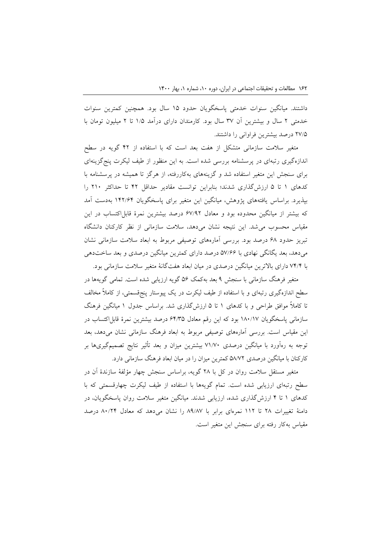داشتند. میانگین سنوات خدمتی پاسخگویان حدود 10 سال بود. همچنین کمترین سنوات خدمتی 2 سال و بیشترین آن 31 سال بود. کارمندان دارای درآمد 1/0 تا 2 میلیون تومان با 21/0 درصد بیشترین فراوانی را داشتند.

متغیر سالمت سازمانی متشکل از هفت بعد است که با استفاده از 12 گویه در سطح اندازهگیری رتبهای در پرسشنامه بررسی شده است. به این منظور از طیف لیکرت پنجگزینهای برای سنجش این متغیر استفاده شد و گزینههای بهکاررفته، از هرگز تا همیشه در پرسشنامه با کدهای 1 تا 0 ارزشگذاری شدند؛ بنابراین توانست مقادیر حداقل 12 تا حداکثر 211 را بپذیرد. براساس یافتههای پژوهش، میانگین این متغیر برای پاسخگویان 112/21 بهدست آمد که بیشتر از میانگین محدوده بود و معادل ۶۷/۹۲ درصد بیشترین نمرهٔ قابل/کتساب در این مقیاس محسوب میشد. این نتیجه نشان میدهد، سالمت سازمانی از نظر کارکنان دانشگاه تبریز حدود 29 درصد بود. بررسی آمارههای توصیفی مربوط به ابعاد سالمت سازمانی نشان میدهد، بعد یگانگی نهادی با 01/22 درصد دارای کمترین میانگین درصدی و بعد ساختدهی با 11/1 دارای باالترین میانگین درصدی در میان ابعاد هفتگانة متغیر سالمت سازمانی بود.

متغیر فرهنگ سازمانی با سنجش 8 بعد بهکمک 02 گویه ارزیابی شده است. تمامی گویهها در سطح اندازهگیری رتبهای و با استفاده از طیف لیکرت در یک پیوستار پنجقسمتی، از کامالً مخالف تا کامالً موافق طراحی و با کدهای 1 تا 0 ارزشگذاری شد. براساس جدول 1 میانگین فرهنگ سازمانی پاسخگویان 191/11 بود که این رقم معادل 21/30 درصد بیشترین نمرة قابلاکتساب در این مقیاس است. بررسی آمارههای توصیفی مربوط به ابعاد فرهنگ سازمانی نشان میدهد، بعد توجه به رهآورد با میانگین درصدی 11/11 بیشترین میزان و بعد تأثیر نتایج تصمیمگیریها بر کارکنان با میانگین درصدی 09/12 کمترین میزان را در میان ابعاد فرهنگ سازمانی دارد.

متغیر مستقل سالمت روان در کل با 29 گویه، براساس سنجش چهار مؤلفة سازندة آن در سطح رتبهای ارزیابی شده است. تمام گویهها با استفاده از طیف لیکرت چهارقسمتی که با کدهای 1 تا 1 ارزشگذاری شده، ارزیابی شدند. میانگین متغیر سالمت روان پاسخگویان، در دامنة تغییرات 29 تا 112 نمرهای برابر با 98/91 را نشان میدهد که معادل 91/21 درصد مقیاس بهکار رفته برای سنجش این متغیر است.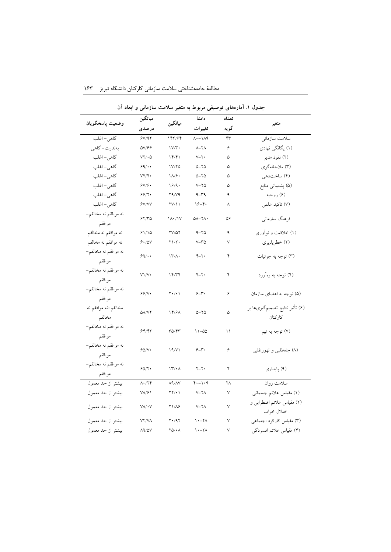|                                | _<br>میانگین                      | ميانگين                                      | دامنة<br>تغييرات         | تعداد                  |                                            |
|--------------------------------|-----------------------------------|----------------------------------------------|--------------------------|------------------------|--------------------------------------------|
| وضعيت ياسخگويان                | درصدی                             |                                              |                          | گويه                   | متغير                                      |
| گاهي - اغلب                    | 5V/97                             | 147/94                                       | $\Lambda$ + $ \Lambda$ 9 | $\mathsf{r}\mathsf{r}$ | سلامت سازمانى                              |
| بەندرت- گاهى                   | $\Delta V/\mathcal{F}\mathcal{F}$ | $1V/\Upsilon$                                | $\lambda-\lambda\lambda$ | ۶                      | (۱) یگانگی نهادی                           |
| گاهي- اغلب                     | $VY/\cdot 0$                      | 14/61                                        | $V - Y$                  | ۵                      | (۲) نفوذ مدير                              |
| گاهي- اغلب                     | 99/44                             | 1V/YQ                                        | $0 - 70$                 | ۵                      | (٣) ملاحظهگری                              |
| گاهي- اغلب                     | $V \mathfrak{f}/\mathfrak{f}$ .   | $\lambda/\hat{r}$                            | $0 - 70$                 | ۵                      | (۴) ساختدهي                                |
| گاهي – اغلب                    | $S$ V/ $S$                        | 19/9.                                        | $V - YQ$                 | ۵                      | (۵) پشتيباني منابع                         |
| گاهي – اغلب                    | 99/7.                             | Y9/Y9                                        | $9 - 79$                 | ٩                      | (۶) روحیه                                  |
| گاهي- اغلب                     | Y/Y'                              | YV/11                                        | $19 - 5$                 | ٨                      | (٧) تاكيد علمي                             |
| نه موافقم نه مخالفم–<br>موافقم | 55/70                             | $1/\sqrt{1}$                                 | $0 - 11$                 | ۵۶                     | فرهنگ سازمانی                              |
| نه موافقم نه مخالفم            | 91/10                             | $\frac{YV}{Q}$                               | $9 - 80$                 | ٩                      | (۱) خلاقیت و نواوری                        |
| نه موافقم نه مخالفم            | 9.70V                             | $Y \setminus Y$                              | $V - Y \Delta$           | $\lor$                 | (٢) خطرپذيري                               |
| نه موافقم نه مخالفم–<br>موافقم | 99/                               | $\mathcal{N}/\mathcal{N}$                    | $Y-Y$                    | ۴                      | (۳) توجه به جزئیات                         |
| نه موافقم نه مخالفم–<br>موافقم | $V\setminus V$                    | 14/Tf                                        | $Y-Y$                    | ۴                      | (۴) توجه به رهآورد                         |
| نه موافقم نه مخالفم–<br>موافقم | 99/N                              | $Y \cdot / \cdot$                            | $5 - 7$                  | ۶                      | (۵) توجه به اعضای سازمان                   |
| مخالفم–نه موافقم نه<br>مخالفم  | $\Delta\Lambda/\mathrm{V}$        | ۱۴/۶۸                                        | $0 - Y_0$                | ۵                      | (۶) تأثير نتايج تصميم گيريها بر<br>كاركنان |
| نه موافقم نه مخالفم–<br>موافقم | 54/77                             | TQ/Y                                         | $11 - 00$                | ۱۱                     | (۷) توجه به تیم                            |
| نه موافقم نه مخالفم–<br>موافقم | 60/V                              | 19/Y1                                        | $5 - 7$                  | ۶                      | (۸) جاهطلبي و تهورطلبي                     |
| نه موافقم نه مخالفم–<br>موافقم | 50/5                              | $\mathcal{N}' \cdot \Lambda$                 | $Y-Y$                    | ۴                      | (۹) پايداري                                |
| بیشتر از حد معمول              | $\Lambda\star/\Upsilon\Upsilon$   | $\Lambda$ ۹/ $\Lambda$ V                     | $4. - 1.4$               | ۲Λ                     | سلامت روان                                 |
| بیشتر از حد معمول              | ۷۸/۶۱                             | $\Upsilon \Upsilon / \cdot \Upsilon$         | $V - Y \Lambda$          | $\lor$                 | (۱) مقیاس علائم جسمانی                     |
| بيشتر از حد معمول              | $V\Lambda/\bullet V$              | <b>Y</b> 1/AG                                | $V - Y \wedge$           | $\lor$                 | (٢) مقياس علائم اضطرابي و<br>اختلال خواب   |
| بیشتر از حد معمول              | <b>VY/VA</b>                      | $Y \cdot / 9Y$                               | $\wedge$ $\sim$ $\wedge$ | $\lor$                 | (۳) مقیاس کارکرد اجتماعی                   |
| بیشتر از حد معمول              | 89/07                             | $\mathbf{Y} \mathbf{Q} / \bullet \mathbf{A}$ | $\lambda - \lambda$      | $\lor$                 | (۴) مقیاس علائم افسردگی                    |

 $\mathbb{R}^2$ 

مطالعة جامعهشناختی سالمت سازمانی کارکنان دانشگاه تبریز 011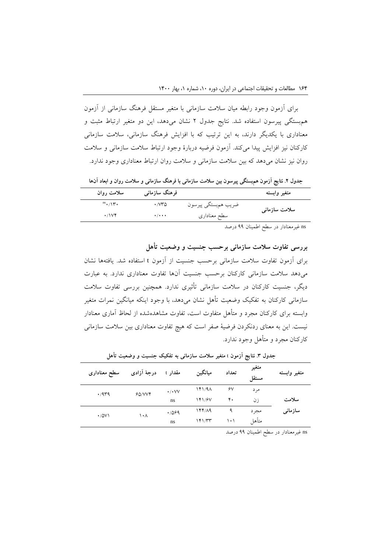برای آزمون وجود رابطه میان سالمت سازمانی با متغیر مستقل فرهنگ سازمانی از آزمون همبستگی پیرسون استفاده شد. نتایج جدول 2 نشان میدهد، این دو متغیر ارتباط مثبت و معناداری با یکدیگر دارند، به این ترتیب که با افزایش فرهنگ سازمانی، سالمت سازمانی کارکنان نیز افزایش پیدا میکند. آزمون فرضیه دربارة وجود ارتباط سالمت سازمانی و سالمت روان نیز نشان میدهد که بین سالمت سازمانی و سالمت روان ارتباط معناداری وجود ندارد.

**جدول .2 نتایج آزمون همبستگی پیرسون بین سالمت سازمانی با فرهنگ سازمانی و سالمت روان و ابعاد آنها**

| سلامت روان   | فرهنگ سازمان <sub>ی</sub>      |                     | متغير وابسته  |
|--------------|--------------------------------|---------------------|---------------|
|              | $\cdot$ / $\vee\uparrow\wedge$ | ضريب همبستگي پيرسون | سلامت سازمانى |
| $\cdot$ /\V\ | $\cdot$ / $\cdot$ $\cdot$      | سطح معنادارى        |               |
|              |                                |                     |               |

ns غیرمعنادار در سطح اطمینان 88 درصد

**بررسی تفاوت سالمت سازمانی برحسب جنسیت و وضعیت تأهل**

برای آزمون تفاوت سالمت سازمانی برحسب جنسیت از آزمون <sup>t</sup> استفاده شد. یافتهها نشان میدهد سالمت سازمانی کارکنان برحسب جنسیت آنها تفاوت معناداری ندارد. به عبارت دیگر، جنسیت کارکنان در سالمت سازمانی تأثیری ندارد. همچنین بررسی تفاوت سالمت سازمانی کارکنان به تفکیک وضعیت تأهل نشان میدهد، با وجود اینکه میانگین نمرات متغیر وابسته برای کارکنان مجرد و متأهل متفاوت است، تفاوت مشاهدهشده از لحاظ آماری معنادار نیست. این به معنای ردنکردن فرضیة صفر است که هیچ تفاوت معناداری بین سالمت سازمانی کارکنان مجرد و متأهل وجود ندارد.

| سطح معنادارى | درجهٔ آزادی | مقدار t              | ميانگين | تعداد | متغير<br>مستقل | متغير وابسته |
|--------------|-------------|----------------------|---------|-------|----------------|--------------|
|              | 60/VV       | $\cdot$ / $\cdot$ VV | 141/9A  | ۶٧    | مر د           |              |
| $\cdot$ /959 |             | ns                   | 141/87  | ۴.    | ز ن            | سلامت        |
|              | ۱۰۸         | .7099                | 144/19  | ٩     | مجر د          | سازمانى      |
| $\cdot$ /0V) |             | ns                   | ۱۴۱/۳۳  | ۱۰۱   | متأهل          |              |

**جدول .3 نتایج آزمون** <sup>t</sup> **متغیر سالمت سازمانی به تفکیک جنسیت و وضعیت تأهل**

ns غیرمعنادار در سطح اطمینان 88 درصد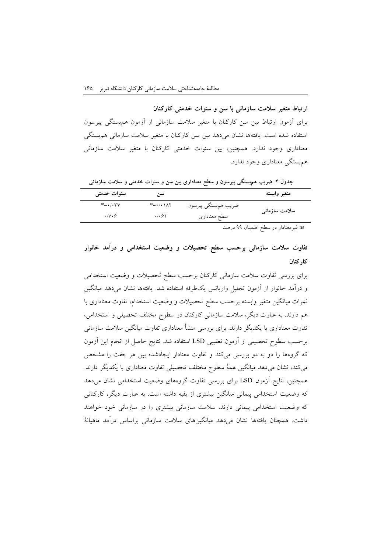**ارتباط متغیر سالمت سازمانی با سن و سنوات خدمتی کارکنان** برای آزمون ارتباط بین سن کارکنان با متغیر سالمت سازمانی از آزمون همبستگی پیرسون استفاده شده است. یافتهها نشان میدهد بین سن کارکنان با متغیر سالمت سازمانی همبستگی معناداری وجود ندارد. همچنین، بین سنوات خدمتی کارکنان با متغیر سالمت سازمانی همبستگی معناداری وجود ندارد.

**جدول .4 ضریب همبستگی پیرسون و سطح معناداری بین سن و سنوات خدمتی و سالمت سازمانی**

| متغير وابسته  |                     | سوم                                  | سنوات خدمتى                         |  |
|---------------|---------------------|--------------------------------------|-------------------------------------|--|
| سلامت سازمانى | ضريب همېستگي پيرسون | $\mathbb{R}$ - $\cdot$ / $\cdot$ \AY | $\mathbf{m}$ - $\cdot$ / $\cdot$ rv |  |
|               | سطح معنادارى        | $\cdot$ / $\cdot$ $\circ$ \          | $\cdot$ /V $\cdot$ 6                |  |
|               |                     |                                      |                                     |  |

ns غیرمعنادار در سطح اطمینان 88 درصد

**تفاوت سالمت سازمانی برحسب سطح تحصیالت و وضعیت استخدامی و درآمد خانوار کارکنان**

برای بررسی تفاوت سالمت سازمانی کارکنان برحسب سطح تحصیالت و وضعیت استخدامی و درآمد خانوار از آزمون تحلیل واریانس یکطرفه استفاده شد. یافتهها نشان میدهد میانگین نمرات میانگین متغیر وابسته برحسب سطح تحصیالت و وضعیت استخدام، تفاوت معناداری با هم دارند. به عبارت دیگر، سالمت سازمانی کارکنان در سطوح مختلف تحصیلی و استخدامی، تفاوت معناداری با یکدیگر دارند. برای بررسی منشأ معناداری تفاوت میانگین سالمت سازمانی برحسب سطوح تحصیلی از آزمون تعقیبی LSD استفاده شد. نتایج حاصل از انجام این آزمون که گروهها را دو به دو بررسی میکند و تفاوت معنادار ایجادشده بین هر جفت را مشخص میکند، نشان میدهد میانگین همة سطوح مختلف تحصیلی تفاوت معناداری با یکدیگر دارند. همچنین، نتایج آزمون LSD برای بررسی تفاوت گروههای وضعیت استخدامی نشان میدهد که وضعیت استخدامی پیمانی میانگین بیشتری از بقیه داشته است. به عبارت دیگر، کارکنانی که وضعیت استخدامی پیمانی دارند، سالمت سازمانی بیشتری را در سازمانی خود خواهند داشت. همچنان یافتهها نشان میدهد میانگینهای سالمت سازمانی براساس درآمد ماهیانة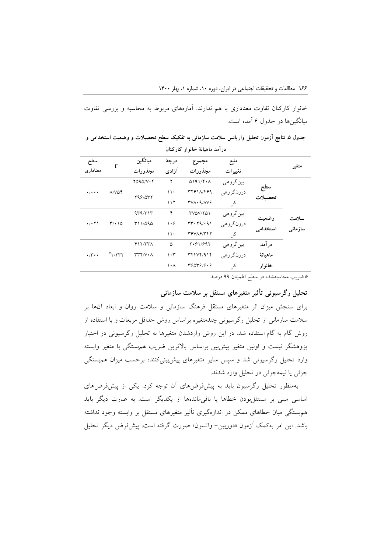خانوار کارکنان تفاوت معناداری با هم ندارند. آمارههای مربوط به محاسبه و بررسی تفاوت میانگینها در جدول 2 آمده است.

**جدول .5 نتایج آزمون تحلیل واریانس سالمت سازمانی به تفکیک سطح تحصیالت و وضعیت استخدامی و درآمد ماهیانة خانوار کارکنان**

| سطح                                                          | F       | ميانگين                                                                            | درجهٔ              | مجموع             | منبع      |         |       |
|--------------------------------------------------------------|---------|------------------------------------------------------------------------------------|--------------------|-------------------|-----------|---------|-------|
| معنادار ی                                                    | مجذورات | آزادی                                                                              | مجذورات            | تغييرات           |           | متغير   |       |
|                                                              |         | $YQQQ/V \cdot Y$                                                                   | ٢                  | 0191/F A          | بين گروهي |         |       |
| $\Lambda/V\Delta\mathfrak{F}$<br>$\cdot$ / $\cdot$ + $\cdot$ | 798/077 | ۱۱۰                                                                                | 37811/489          | درونگروهي         | سطح       |         |       |
|                                                              |         | 117                                                                                | $TVA \cdot 9/AV9$  | کل                | تحصىلات   |         |       |
| $\cdot$ / $\cdot$ $\uparrow$ \<br>۱۵٬۰۱۵                     |         | 4r4/r1r                                                                            | ۴                  | 377701            | بين گروهي |         | سلامت |
|                                                              |         | 711/090                                                                            | $\cdot$ $\epsilon$ | $rr \cdot 79/091$ | درونگروهي | وضعين   |       |
|                                                              |         | $\backslash \backslash$                                                            | TSVAS/TTY          | کل                | استخدامی  | سازمانى |       |
| $\cdot \wedge \cdot \cdot$                                   |         | Y17/YYA                                                                            | ۵                  | Y.91/997          | بين گروهي | در آمد  |       |
|                                                              | N       | $\mathsf{r}\mathsf{r}\mathsf{r}\mathsf{r}\mathsf{v}\mathsf{r}\mathsf{v}\mathsf{r}$ | ۱۰۳                | YYYYY/9YY         | درونگروهي | ماهىانة |       |
|                                                              |         |                                                                                    | ۱۰۸                | 49079/9.9         | کل        | خانوار  |       |

\*ضریب محاسبهشده در سطح اطمینان 88 درصد

**تحلیل رگرسیونی تأثیر متغیرهای مستقل بر سالمت سازمانی**

برای سنجش میزان اثر متغیرهای مستقل فرهنگ سازمانی و سالمت روان و ابعاد آنها بر سالمت سازمانی از تحلیل رگرسیونی چندمتغیره براساس روش حداقل مربعات و با استفاده از روش گام به گام استفاده شد. در این روش واردشدن متغیرها به تحلیل رگرسیونی در اختیار پژوهشگر نیست و اولین متغیر پیشبین براساس باالترین ضریب همبستگی با متغیر وابسته وارد تحلیل رگرسیونی شد و سپس سایر متغیرهای پیشبینیکننده برحسب میزان همبستگی جزئی یا نیمهجزئی در تحلیل وارد شدند.

بهمنظور تحلیل رگرسیون باید به پیشفرضهای آن توجه کرد. یکی از پیشفرضهای اساسی مبنی بر مستقلبودن خطاها یا باقیماندهها از یکدیگر است. به عبارت دیگر باید همبستگی میان خطاهای ممکن در اندازهگیری تأثیر متغیرهای مستقل بر وابسته وجود نداشته باشد. این امر بهکمک آزمون »دوربین- واتسون« صورت گرفته است. پیشفرض دیگر تحلیل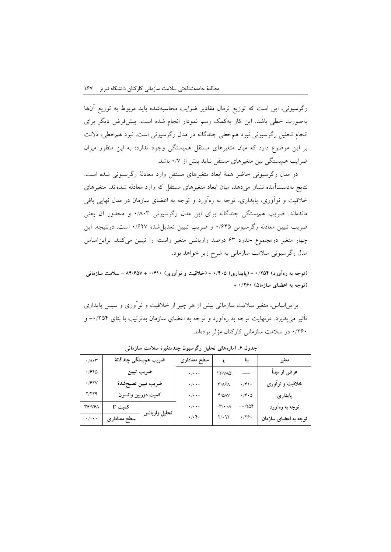رگرسیونی، این است که توزیع نرمال مقادیر ضرایب محاسبهشده باید مربوط به توزیع آنها بهصورت خطی باشد. این کار بهکمک رسم نمودار انجام شده است. پیشفرض دیگر برای انجام تحلیل رگرسیونی نبود همخطی چندگانه در مدل رگرسیونی است. نبود همخطی، داللت بر این موضوع دارد که میان متغیرهای مستقل همبستگی وجود ندارد؛ به این منظور میزان ضرایب همبستگی بین متغیرهای مستقل نباید بیش از 1/1 باشد.

در مدل رگرسیونی حاضر همة ابعاد متغیرهای مستقل وارد معادلة رگرسیونی شده است. نتایج بهدستآمده نشان میدهد، میان ابعاد متغیرهای مستقل که وارد معادله شدهاند، متغیرهای خالقیت و نوآوری، پایداری، توجه به رهآورد و توجه به اعضای سازمان در مدل نهایی باقی ماندهاند. ضریب همبستگی چندگانه برای این مدل رگرسیونی 1/913 و مجذور آن یعنی ضریب تبیین معادله رگرسیونی 1/210 و ضریب تبیین تعدیلشده 1/221 است. درنتیجه، این چهار متغیر درمجموع حدود 23 درصد واریانس متغیر وابسته را تبیین میکنند. برایناساس مدل رگرسیونی سالمت سازمانی به شرح زیر خواهد بود.

**)توجه به رهآورد( 1/254 - )پایداری( 1/415 + )خالقیت و نوآوری( 1/411 + 14/153 = سالمت سازمانی )توجه به اعضای سازمان( 1/211 +**

برایناساس، متغیر سالمت سازمانی بیش از هر چیز از خالقیت و نوآوری و سپس پایداری تأثیر میپذیرد. درنهایت توجه به رهآورد و توجه به اعضای سازمان بهترتیب با بتای -1/201 و 1/221 در سالمت سازمانی کارکنان مؤثر بودهاند.

| $\cdot/\lambda \cdot \tau$ | ضريب همېستگى چندگانۀ |               | سطح معناداري                      |                                | ىتا                       | متغير                |
|----------------------------|----------------------|---------------|-----------------------------------|--------------------------------|---------------------------|----------------------|
| ۱۶۴۵                       | ضريب تبيين           |               | $\cdot/\cdot\cdot\cdot$           | <b><i>IT/VAQ</i></b>           |                           | عرض از مبدأ          |
| •167V                      | ضريب تبيين تصيحشدة   |               | $\cdot/\cdot\cdot\cdot$           | <b>٣/٨۶٨</b>                   | $\cdot$ /۴۱.              | خلاقیت و نوآوری      |
| 7/۲۲۹                      | كميت دوربين واتسون   |               | $\cdot$ / $\cdot$ $\cdot$         | Y/QAV                          | $\cdot$ / $\cdot$ $\circ$ | پايدارى              |
| ۳۶/۷۶۸                     | کمیت F               |               | $\cdot$ / $\cdot$ $\cdot$         | $-\mathbf{r}\cdot\cdot\lambda$ | $-1704$                   | توجه به رهآورد       |
| $\star/\star\star\star$    | سطح معنادارى         | تحليل واريانس | $\cdot/\cdot$ $\mathfrak{r}\cdot$ | $Y/\cdot$ 97                   | .779.                     | توجه به اعضای سازمان |

**جدول .1 آمارههای تحلیل رگرسیون چندمتغیرۀ سالمت سازمانی**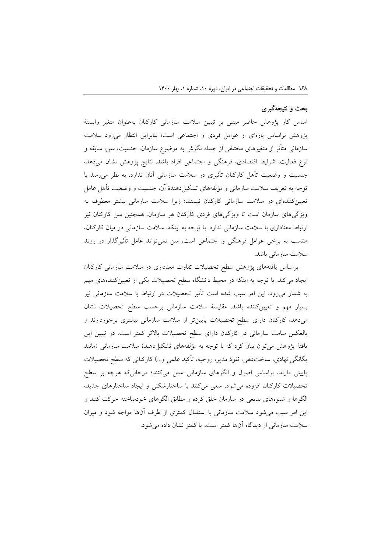### **بحث و نتیجهگیری**

اساس کار پژوهش حاضر مبتنی بر تبیین سالمت سازمانی کارکنان بهعنوان متغیر وابستة پژوهش براساس پارهای از عوامل فردی و اجتماعی است؛ بنابراین انتظار میرود سالمت سازمانی متأثر از متغیرهای مختلفی از جمله نگرش به موضوع سازمان، جنسیت، سن، سابقه و نوع فعالیت، شرایط اقتصادی، فرهنگی و اجتماعی افراد باشد. نتایج پژوهش نشان میدهد، جنسیت و وضعیت تأهل کارکنان تأثیری در سالمت سازمانی آنان ندارد. به نظر میرسد با توجه به تعریف سالمت سازمانی و مؤلفههای تشکیلدهندة آن، جنسیت و وضعیت تأهل عامل تعیینکنندهای در سالمت سازمانی کارکنان نیستند؛ زیرا سالمت سازمانی بیشتر معطوف به ویژگیهای سازمان است تا ویژگیهای فردی کارکنان هر سازمان. همچنین سن کارکنان نیز ارتباط معناداری با سالمت سازمانی ندارد. با توجه به اینکه، سالمت سازمانی در میان کارکنان، منتسب به برخی عوامل فرهنگی و اجتماعی است، سن نمیتواند عامل تأثیرگذار در روند سالمت سازمانی باشد.

براساس یافتههای پژوهش سطح تحصیالت تفاوت معناداری در سالمت سازمانی کارکنان ایجاد میکند. با توجه به اینکه در محیط دانشگاه سطح تحصیالت یکی از تعیینکنندههای مهم به شمار میرود، این امر سبب شده است تأثیر تحصیالت در ارتباط با سالمت سازمانی نیز بسیار مهم و تعیینکننده باشد. مقایسة سالمت سازمانی برحسب سطح تحصیالت نشان میدهد، کارکنان دارای سطح تحصیالت پایینتر از سالمت سازمانی بیشتری برخوردارند و بالعکس سامت سازمانی در کارکنان دارای سطح تحصیالت باالتر کمتر است. در تبیین این یافتهٔ پژوهش می توان بیان کرد که با توجه به مؤلفههای تشکیل دهندهٔ سلامت سازمانی (مانند یگانگی نهادی، ساختدهی، نفوذ مدیر، روحیه، تأکید علمی و...) کارکنانی که سطح تحصیلات پایینی دارند، براساس اصول و الگوهای سازمانی عمل میکنند؛ درحالیکه هرچه بر سطح تحصیالت کارکنان افزوده میشود، سعی میکنند با ساختارشکنی و ایجاد ساختارهای جدید، الگوها و شیوههای بدیعی در سازمان خلق کرده و مطابق الگوهای خودساخته حرکت کنند و این امر سبب میشود سالمت سازمانی با استقبال کمتری از طرف آنها مواجه شود و میزان سالمت سازمانی از دیدگاه آنها کمتر است، یا کمتر نشان داده میشود.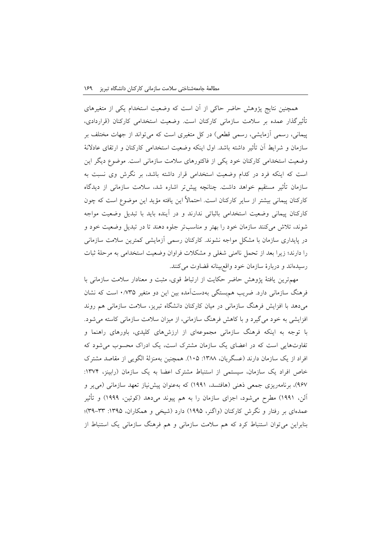همچنین نتایج پژوهش حاضر حاکی از آن است که وضعیت استخدام یکی از متغیرهای تأثیرگذار عمده بر سالمت سازمانی کارکنان است. وضعیت استخدامی کارکنان )قراردادی، پیمانی، رسمی أزمایشی، رسمی قطعی) در کل متغیری است که میتواند از جهات مختلف بر سازمان و شرایط آن تأثیر داشته باشد. اول اینکه وضعیت استخدامی کارکنان و ارتقای عادالنة وضعیت استخدامی کارکنان خود یکی از فاکتورهای سالمت سازمانی است. موضوع دیگر این است که اینکه فرد در کدام وضعیت استخدامی قرار داشته باشد، بر نگرش وی نسبت به سازمان تأثیر مستقیم خواهد داشت. چنانچه پیشتر اشاره شد، سالمت سازمانی از دیدگاه کارکنان پیمانی بیشتر از سایر کارکنان است. احتماالً این یافته مؤید این موضوع است که چون کارکنان پیمانی وضعیت استخدامی باثباتی ندارند و در آینده باید با تبدیل وضعیت مواجه شوند، تالش میکنند سازمان خود را بهتر و مناسبتر جلوه دهند تا در تبدیل وضعیت خود و در پایداری سازمان با مشکل مواجه نشوند. کارکنان رسمی آزمایشی کمترین سالمت سازمانی را دارند؛ زیرا بعد از تحمل ناامنی شغلی و مشکالت فراوان وضعیت استخدامی به مرحلة ثبات رسیدهاند و دربارة سازمان خود واقعبینانه قضاوت میکنند.

مهمترین یافتة پژوهش حاضر حکایت از ارتباط قوی، مثبت و معنادار سالمت سازمانی با فرهنگ سازمانی دارد. ضریب همبستگی بهدستآمده بین این دو متغیر 1/130 است که نشان میدهد با افزایش فرهنگ سازمانی در میان کارکنان دانشگاه تبریز، سالمت سازمانی هم روند افزایشی به خود میگیرد و با کاهش فرهنگ سازمانی، از میزان سالمت سازمانی کاسته میشود. با توجه به اینکه فرهنگ سازمانی مجموعهای از ارزشهای کلیدی، باورهای راهنما و تفاوتهایی است که در اعضای یک سازمان مشترک است، یک ادراک محسوب میشود که افراد از یک سازمان دارند (عسگریان، ۱۳۸۸: ۱۰۵). همچنین بهمنزلهٔ الگویی از مقاصد مشترک خاص افراد یک سازمان، سیستمی از استنباط مشترک اعضا به یک سازمان (رابینز، ۱۳۷۴: ۹۶۷)، برنامهریزی جمعی ذهنی (هافتسد، ۱۹۹۱) که بهعنوان پیش نیاز تعهد سازمانی (می پر و آلن، 1881( مطرح میشود، اجزای سازمان را به هم پیوند میدهد )کوئین، 1888( و تأثیر عمدهای بر رفتار و نگرش کارکنان (واگنر، ۱۹۹۵) دارد (شیخی و همکاران، ۱۳۹۵: ۳۳–۳۹)؛ بنابراین میتوان استنباط کرد که هم سالمت سازمانی و هم فرهنگ سازمانی یک استنباط از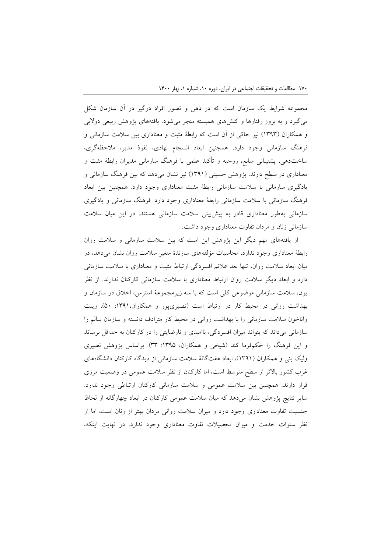مجموعه شرایط یک سازمان است که در ذهن و تصور افراد درگیر در آن سازمان شکل میگیرد و به بروز رفتارها و کنشهای همبسته منجر میشود. یافتههای پژوهش ربیعی دوالبی و همکاران )1383( نیز حاکی از آن است که رابطة مثبت و معناداری بین سالمت سازمانی و فرهنگ سازمانی وجود دارد. همچنین ابعاد انسجام نهادی، نفوذ مدیر، مالحظهگری، ساختدهی، پشتیبانی منابع، روحیه و تأکید علمی با فرهنگ سازمانی مدیران رابطة مثبت و معناداری در سطح دارند. پژوهش حسینی )1381( نیز نشان میدهد که بین فرهنگ سازمانی و یادگیری سازمانی با سالمت سازمانی رابطة مثبت معناداری وجود دارد. همچنین بین ابعاد فرهنگ سازمانی با سالمت سازمانی رابطة معناداری وجود دارد. فرهنگ سازمانی و یادگیری سازمانی بهطور معناداری قادر به پیشبینی سالمت سازمانی هستند. در این میان سالمت سازمانی زنان و مردان تفاوت معناداری وجود داشت.

از یافتههای مهم دیگر این پژوهش این است که بین سالمت سازمانی و سالمت روان رابطة معناداری وجود ندارد. محاسبات مؤلفههای سازندة متغیر سالمت روان نشان میدهد، در میان ابعاد سالمت روان، تنها بعد عالئم افسردگی ارتباط مثبت و معناداری با سالمت سازمانی دارد و ابعاد دیگر سالمت روان ارتباط معناداری با سالمت سازمانی کارکنان ندارند. از نظر یون، سالمت سازمانی موضوعی کلی است که با سه زیرمجموعة استرس، اخالق در سازمان و بهداشت روانی در محیط کار در ارتباط است )نصیریپور و همکاران:1381، 01(. وینت واناخون سالمت سازمانی را با بهداشت روانی در محیط کار مترادف دانسته و سازمان سالم را سازمانی میداند که بتواند میزان افسردگی، ناامیدی و نارضایتی را در کارکنان به حداقل برساند و این فرهنگ را حکمفرما کند (شیخی و همکاران، ۱۳۹۵: ۳۳). براساس پژوهش نصیری ولیک بنی و همکاران )1381(، ابعاد هفتگانة سالمت سازمانی از دیدگاه کارکنان دانشگاههای غرب کشور باالتر از سطح متوسط است، اما کارکنان از نظر سالمت عمومی در وضعیت مرزی قرار دارند. همچنین بین سالمت عمومی و سالمت سازمانی کارکنان ارتباطی وجود ندارد. سایر نتایج پژوهش نشان میدهد که میان سالمت عمومی کارکنان در ابعاد چهارگانه از لحاظ جنسیت تفاوت معناداری وجود دارد و میزان سالمت روانی مردان بهتر از زنان است، اما از نظر سنوات خدمت و میزان تحصیالت تفاوت معناداری وجود ندارد. در نهایت اینکه،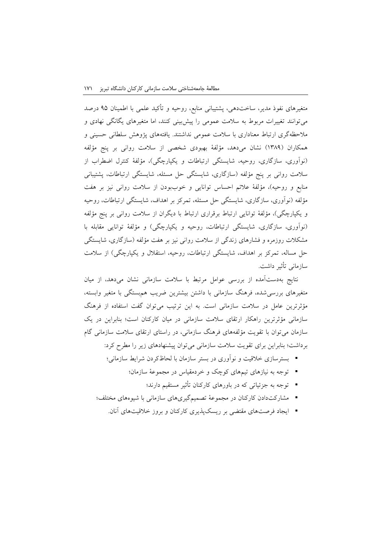متغیرهای نفوذ مدیر، ساختدهی، پشتیبانی منابع، روحیه و تأکید علمی با اطمینان 80 درصد میتوانند تغییرات مربوط به سالمت عمومی را پیشبینی کنند، اما متغیرهای یگانگی نهادی و مالحظهگری ارتباط معناداری با سالمت عمومی نداشتند. یافتههای پژوهش سلطانی حسینی و همکاران )1398( نشان میدهد، مؤلفة بهبودی شخصی از سالمت روانی بر پنج مؤلفه )نوآوری، سازگاری، روحیه، شایستگی ارتباطات و یکپارچگی(، مؤلفة کنترل اضطراب از سالمت روانی بر پنج مؤلفه )سازگاری، شایستگی حل مسئله، شایستگی ارتباطات، پشتیبانی منابع و روحیه)، مؤلفهٔ علائم احساس توانایی و خوببودن از سلامت روانی نیز بر هفت مؤلفه )نوآوری، سازگاری، شایستگی حل مسئله، تمرکز بر اهداف، شایستگی ارتباطات، روحیه و یکپارچگی)، مؤلفهٔ توانایی ارتباط برقراری ارتباط با دیگران از سلامت روانی بر پنج مؤلفه )نوآوری، سازگاری، شایستگی ارتباطات، روحیه و یکپارچگی( و مؤلفة توانایی مقابله با مشکالت روزمره و فشارهای زندگی از سالمت روانی نیز بر هفت مؤلفه )سازگاری، شایستگی حل مساله، تمرکز بر اهداف، شایستگی ارتباطات، روحیه، استقالل و یکپارچگی( از سالمت سازمانی تأثیر داشت.

نتایج بهدستآمده از بررسی عوامل مرتبط با سالمت سازمانی نشان میدهد، از میان متغیرهای بررسیشده، فرهنگ سازمانی با داشتن بیشترین ضریب همبستگی با متغیر وابسته، مؤثرترین عامل در سالمت سازمانی است. به این ترتیب میتوان گفت استفاده از فرهنگ سازمانی مؤثرترین راهکار ارتقای سالمت سازمانی در میان کارکنان است؛ بنابراین در یک سازمان میتوان با تقویت مؤلفههای فرهنگ سازمانی، در راستای ارتقای سالمت سازمانی گام برداشت؛ بنابراین برای تقویت سالمت سازمانی میتوان پیشنهادهای زیر را مطرح کرد:

- بسترسازی خالقیت و نوآوری در بستر سازمان با لحاظکردن شرایط سازمانی؛
	- توجه به نیازهای تیمهای کوچک و خردمقیاس در مجموعة سازمان؛
		- توجه به جزئیاتی که در باورهای کارکنان تأثیر مستقیم دارند؛
- مشارکتدادن کارکنان در مجموعة تصمیمگیریهای سازمانی با شیوههای مختلف؛
	- ایجاد فرصتهای مقتضی بر ریسکپذیری کارکنان و بروز خالقیتهای آنان.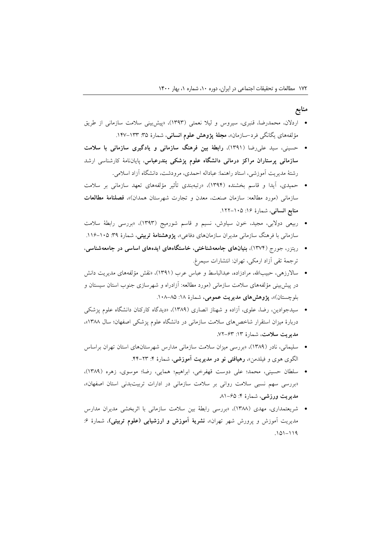### **منابع**

- اردالن، محمدرضا، قنبری، سیروس و لیال نعمتی )1383(، »پیشبینی سالمت سازمانی از طریق مؤلفههای یگانگ<sub>ی</sub> فرد–سازمان»، **مجلهٔ پژوهش علوم انسانی**، شمارهٔ ۳۵: ۱۳۳–۱۴۷.
- حسینی، سید علیرضا )1381(، **رابطة بین فرهنگ سازمانی و یادگیری سازمانی با سالمت سازمانی پرستاران مراکز درمانی دانشگاه علوم پزشکی بندرعباس**، پایاننامة کارشناسی ارشد رشتة مدیریت آموزشی، استاد راهنما: عباداله احمدی، مرودشت، دانشگاه آزاد اسالمی.
- حمیدی، آیدا و قاسم بخشنده )1381(، »رتبهبندی تأثیر مؤلفههای تعهد سازمانی بر سالمت سازمانی )مورد مطالعه: سازمان صنعت، معدن و تجارت شهرستان همدان(«، **فصلنامة مطالعات منابع انسانی**، شمارهٔ ۱۶: ۱۵-۱۲۲.
- ربیعی دوالبی، مجید، خون سیاوش، نسیم و قاسم شورمیج )1383(، »بررسی رابطة سالمت سازمانی با فرهنگ سازمانی مدیران سازمانهای دفاعی»**، پژوهشنامهٔ تربیتی**، شمارهٔ ۳۹: ۱۰۵–۱۱۶.
- ریتزر، جورج )1311(، **بنیانهای جامعهشناختی، خاستگاههای ایدههای اساسی در جامعهشناسی**، ترجمة تقی آزاد ارمکی، تهران: انتشارات سیمرغ.
- ساالرزهی، حبیباهلل، مرادزاده، عبدالباسط و عباس عرب )1381(، »نقش مؤلفههای مدیریت دانش در پیشبینی مؤلفههای سالمت سازمانی )مورد مطالعه: آزادراه و شهرسازی جنوب استان سیستان و بلوچستان)»، **پژوهشهای مدیریت عمومی،** شمارهٔ ۱۸: ۸۵–۱۰۸.
- سیدجوادین، رضا، علوی، آزاده و شهناز انصاری )1398(، »دیدگاه کارکنان دانشگاه علوم پزشکی دربارة میزان استقرار شاخصهای سالمت سازمانی در دانشگاه علوم پزشکی اصفهان؛ سال 1399«، **مدیریت سالمت**، شمارة :13 **.**12-23
- سلیمانی، نادر )1398(، »بررسی میزان سالمت سازمانی مدارس شهرستانهای استان تهران براساس الگوی هوی و فیلدمن«، **رهیافتی نو در مدیریت آموزشی**، شمارة :1 .11-23
- سلطان حسینی، محمد؛ علی دوست قهفرخی، ابراهیم؛ همایی، رضا؛ موسوی، زهره )1398(، »بررسی سهم نسبی سالمت روانی بر سالمت سازمانی در ادارات تربیتبدنی استان اصفهان«، **مدیریت ورزشی**، شمارهٔ ۴: ۶۵–۸۱
- شریعتمداری، مهدی )1399(، »بررسی رابطة بین سالمت سازمانی با اثربخشی مدیران مدارس مدیریت آموزش و پرورش شهر تهران»**، نشریهٔ آموزش و ارزشیابی (علوم تربیتی)**، شمارهٔ ۶: .101-118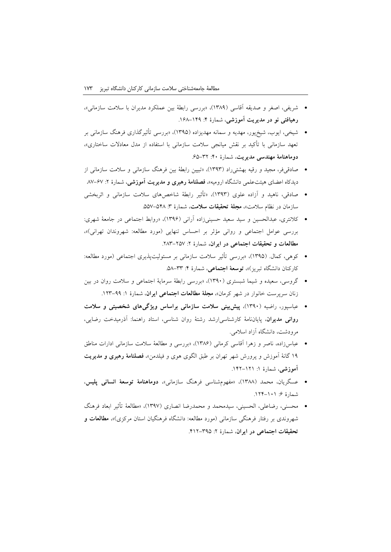- شریفی، اصغر و صدیقه آقاسی )1398(، »بررسی رابطة بین عملکرد مدیران با سالمت سازمانی«، **رهیافتی نو در مدیریت آموزشی**، شمارة :1 .129-118
- شیخی، ایوب، شیخپور، مهدیه و سمانه مهدیزاده )1380(، »بررسی تأثیرگذاری فرهنگ سازمانی بر تعهد سازمانی با تأکید بر نقش میانجی سالمت سازمانی با استفاده از مدل معادالت ساختاری«، **دوماهنامة مهندسی مدیریت**، شمارة :11 .20-32
- صادقیفر، مجید و رقیه بهشتیراد )1383(، »تبیین رابطة بین فرهنگ سازمانی و سالمت سازمانی از دیدکاه اعضای هیئتعلمی دانشگاه ارومیه«، **فصلنامة رهبری و مدیریت آموزشی**، شمارة :2 .91-21
- صادقی، ناهید و آزاده علوی )1383(، »تأثیر رابطة شاخصهای سالمت سازمانی و اثربخشی سازمان در نظام سلامت»، **مجلة تحقیقات سلامت**، شمارهٔ ۳: ۵۲۸–۵۵۷.
- کالنتری، عبدالحسین و سید سعید حسینیزاده آرانی )1382(، »روابط اجتماعی در جامعة شهری: بررسی عوامل اجتماعی و روانی مؤثر بر احساس تنهایی (مورد مطالعه: شهروندان تهرانی)»، **مطالعات و تحقیقات اجتماعی در ایران،** شمارة :2 .293-201
- کوهی، کمال. )1380(، »بررسی تأثیر سالمت سازمانی بر مسئولیتپذیری اجتماعی )مورد مطالعه: کارکنان دانشگاه تبریز)»، **توسعهٔ اجتماعی**، شمارهٔ ۴: ۳۳-۵۸.
- گروسی، سعیده و شیما شبستری )1381(، »بررسی رابطة سرمایة اجتماعی و سالمت روان در بین زنان سرپرست خانوار در شهر کرمان»**، مجلهٔ مطالعات اجتماعی ایران**، شمارهٔ ۱: ۹۹–۱۲۳.
- عباسپور، راضیه )1381(، **پیشبینی سالمت سازمانی براساس ویژگیهای شخصیتی و سالمت روانی مدیران**، پایاننامة کارشناسیارشد رشتة روان شناسی، استاد راهنما: آذرمیدخت رضایی، مرودشت، دانشگاه آزاد اسالمی.
- عباسزاده، ناصر و زهرا آقاسی کرمانی )1392(، »بررسی و مطالعة سالمت سازمانی ادارات مناطق 18 گانة آموزش و پرورش شهر تهران بر طبق الگوی هوی و فیلدمن«، **فصلنامة رهبری و مدیریت آموزشی**، شمارة :1 .112-121
- عسگریان، محمد )1399(، »مفهومشناسی فرهنگ سازمانی«، **دوماهنامة توسعة انسانی پلیس**، شمارهٔ ۶: ۱۰۱–۱۲۴.
- محسنی، رضاعلی، الحسینی، سیدمحمد و محمدرضا انصاری )1381(، »مطالعة تأثیر ابعاد فرهنگ شهروندی بر رفتار فرهنگی سازمانی )مورد مطالعه: دانشگاه فرهنگیان استان مرکزی(«، **مطالعات و تحقیقات اجتماعی در ایران**، شمارة :2 .112-380